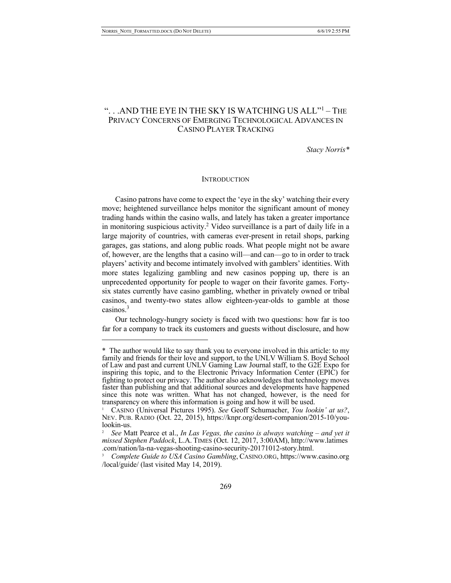$\overline{a}$ 

# ". . .AND THE EYE IN THE SKY IS WATCHING US ALL"1 – THE PRIVACY CONCERNS OF EMERGING TECHNOLOGICAL ADVANCES IN CASINO PLAYER TRACKING

*Stacy Norris\**

#### **INTRODUCTION**

Casino patrons have come to expect the 'eye in the sky' watching their every move; heightened surveillance helps monitor the significant amount of money trading hands within the casino walls, and lately has taken a greater importance in monitoring suspicious activity.<sup>2</sup> Video surveillance is a part of daily life in a large majority of countries, with cameras ever-present in retail shops, parking garages, gas stations, and along public roads. What people might not be aware of, however, are the lengths that a casino will—and can—go to in order to track players' activity and become intimately involved with gamblers' identities. With more states legalizing gambling and new casinos popping up, there is an unprecedented opportunity for people to wager on their favorite games. Fortysix states currently have casino gambling, whether in privately owned or tribal casinos, and twenty-two states allow eighteen-year-olds to gamble at those casinos  $3$ 

Our technology-hungry society is faced with two questions: how far is too far for a company to track its customers and guests without disclosure, and how

<sup>\*</sup> The author would like to say thank you to everyone involved in this article: to my family and friends for their love and support, to the UNLV William S. Boyd School of Law and past and current UNLV Gaming Law Journal staff, to the G2E Expo for inspiring this topic, and to the Electronic Privacy Information Center (EPIC) for fighting to protect our privacy. The author also acknowledges that technology moves faster than publishing and that additional sources and developments have happened since this note was written. What has not changed, however, is the need for transparency on where this information is going and how it will be used.

<sup>1</sup> CASINO (Universal Pictures 1995). *See* Geoff Schumacher, *You lookin' at us?*, NEV. PUB. RADIO (Oct. 22, 2015), https://knpr.org/desert-companion/2015-10/you- lookin-us.

<sup>2</sup> *See* Matt Pearce et al., *In Las Vegas, the casino is always watching – and yet it missed Stephen Paddock*, L.A. TIMES (Oct. 12, 2017, 3:00AM), http://www.latimes .com/nation/la-na-vegas-shooting-casino-security-20171012-story.html.

<sup>3</sup> *Complete Guide to USA Casino Gambling*, CASINO.ORG, https://www.casino.org /local/guide/ (last visited May 14, 2019).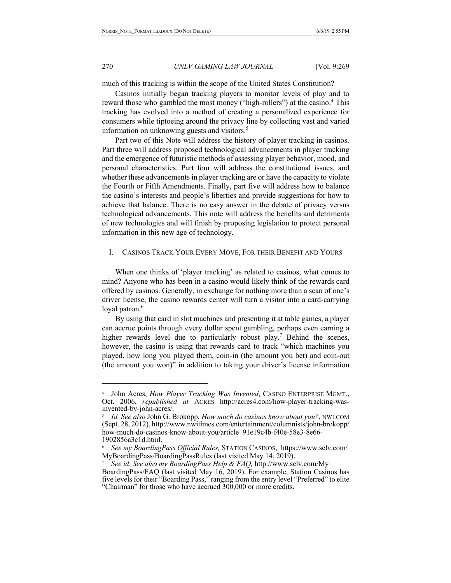$\overline{a}$ 

# 270 *UNLV GAMING LAW JOURNAL* [Vol. 9:269

much of this tracking is within the scope of the United States Constitution?

Casinos initially began tracking players to monitor levels of play and to reward those who gambled the most money ("high-rollers") at the casino.<sup>4</sup> This tracking has evolved into a method of creating a personalized experience for consumers while tiptoeing around the privacy line by collecting vast and varied information on unknowing guests and visitors.<sup>5</sup>

Part two of this Note will address the history of player tracking in casinos. Part three will address proposed technological advancements in player tracking and the emergence of futuristic methods of assessing player behavior, mood, and personal characteristics. Part four will address the constitutional issues, and whether these advancements in player tracking are or have the capacity to violate the Fourth or Fifth Amendments. Finally, part five will address how to balance the casino's interests and people's liberties and provide suggestions for how to achieve that balance. There is no easy answer in the debate of privacy versus technological advancements. This note will address the benefits and detriments of new technologies and will finish by proposing legislation to protect personal information in this new age of technology.

#### I. CASINOS TRACK YOUR EVERY MOVE, FOR THEIR BENEFIT AND YOURS

When one thinks of 'player tracking' as related to casinos, what comes to mind? Anyone who has been in a casino would likely think of the rewards card offered by casinos. Generally, in exchange for nothing more than a scan of one's driver license, the casino rewards center will turn a visitor into a card-carrying loyal patron.<sup>6</sup>

By using that card in slot machines and presenting it at table games, a player can accrue points through every dollar spent gambling, perhaps even earning a higher rewards level due to particularly robust play.<sup>7</sup> Behind the scenes, however, the casino is using that rewards card to track "which machines you played, how long you played them, coin-in (the amount you bet) and coin-out (the amount you won)" in addition to taking your driver's license information

<sup>4</sup> John Acres, *How Player Tracking Was Invented*, CASINO ENTERPRISE MGMT., Oct. 2006, *republished at* ACRES http://acres4.com/how-player-tracking-was- invented-by-john-acres/.

<sup>5</sup> *Id. See also* John G. Brokopp, *How much do casinos know about you?*, NWI.COM (Sept. 28, 2012), http://www.nwitimes.com/entertainment/columnists/john-brokopp/ how-much-do-casinos-know-about-you/article\_91e19c4b-f40e-58e3-8e66- 1902856a3c1d.html.

<sup>6</sup> *See my BoardingPass Official Rules,* STATION CASINOS, https://www.sclv.com/ MyBoardingPass/BoardingPassRules (last visited May 14, 2019).

<sup>7</sup> *See id*. *See also my BoardingPass Help & FAQ,* http://www.sclv.com/My BoardingPass/FAQ (last visited May 16, 2019). For example, Station Casinos has five levels for their "Boarding Pass," ranging from the entry level "Preferred" to elite "Chairman" for those who have accrued 300,000 or more credits.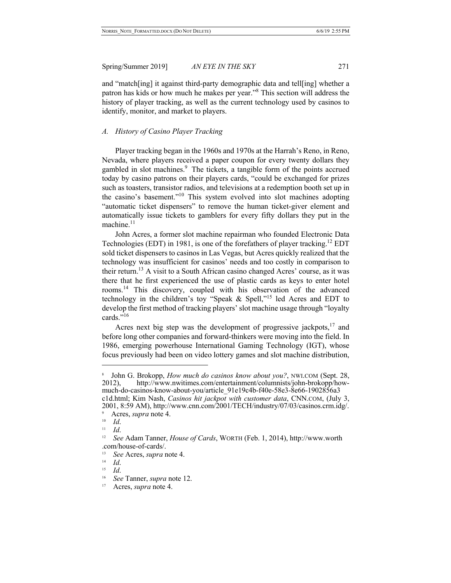and "match[ing] it against third-party demographic data and tell[ing] whether a patron has kids or how much he makes per year."8 This section will address the history of player tracking, as well as the current technology used by casinos to identify, monitor, and market to players.

#### *A. History of Casino Player Tracking*

Player tracking began in the 1960s and 1970s at the Harrah's Reno, in Reno, Nevada, where players received a paper coupon for every twenty dollars they gambled in slot machines.<sup>9</sup> The tickets, a tangible form of the points accrued today by casino patrons on their players cards, "could be exchanged for prizes such as toasters, transistor radios, and televisions at a redemption booth set up in the casino's basement."<sup>10</sup> This system evolved into slot machines adopting "automatic ticket dispensers" to remove the human ticket-giver element and automatically issue tickets to gamblers for every fifty dollars they put in the machine.<sup>11</sup>

John Acres, a former slot machine repairman who founded Electronic Data Technologies (EDT) in 1981, is one of the forefathers of player tracking.<sup>12</sup> EDT sold ticket dispensers to casinos in Las Vegas, but Acres quickly realized that the technology was insufficient for casinos' needs and too costly in comparison to their return.<sup>13</sup> A visit to a South African casino changed Acres' course, as it was there that he first experienced the use of plastic cards as keys to enter hotel rooms.14 This discovery, coupled with his observation of the advanced technology in the children's toy "Speak & Spell,"<sup>15</sup> led Acres and EDT to develop the first method of tracking players' slot machine usage through "loyalty cards."<sup>16</sup>

Acres next big step was the development of progressive jackpots,  $17$  and before long other companies and forward-thinkers were moving into the field. In 1986, emerging powerhouse International Gaming Technology (IGT), whose focus previously had been on video lottery games and slot machine distribution,

John G. Brokopp, *How much do casinos know about you?*, NWI.COM (Sept. 28, 12), http://www.nwitimes.com/entertainment/columnists/john-brokopp/how-2012), http://www.nwitimes.com/entertainment/columnists/john-brokopp/hom-<br>much-do-casinos-know-about-you/article\_91e19c4b-f40e-58e3-8e66-1902856a3 c1d.html; Kim Nash, *Casinos hit jackpot with customer data*, CNN.COM, (July 3, 2001, 8:59 AM), http://www.cnn.com/2001/TECH/industry/07/03/casinos.crm.idg/.

 $^{9}$  Acres, *supra* note 4.

<sup>10</sup>*Id*. 11 *Id*. 12 *See* Adam Tanner, *House of Cards*, WORTH (Feb. 1, 2014), http://www.worth .com/house-of-cards/.

<sup>13</sup> *See* Acres, *supra* note 4.

<sup>14</sup>*Id*. 15 *Id*. 16 *See* Tanner, *supra* note 12.

<sup>17</sup> Acres, *supra* note 4.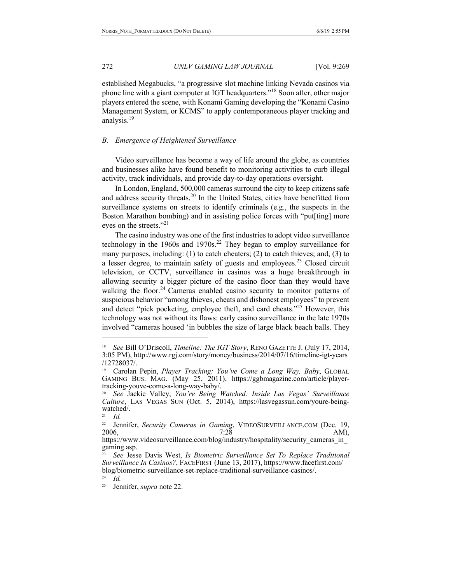established Megabucks, "a progressive slot machine linking Nevada casinos via phone line with a giant computer at IGT headquarters."<sup>18</sup> Soon after, other major players entered the scene, with Konami Gaming developing the "Konami Casino Management System, or KCMS" to apply contemporaneous player tracking and analysis.<sup>19</sup>

## *B. Emergence of Heightened Surveillance*

Video surveillance has become a way of life around the globe, as countries and businesses alike have found benefit to monitoring activities to curb illegal activity, track individuals, and provide day-to-day operations oversight.

In London, England, 500,000 cameras surround the city to keep citizens safe and address security threats.<sup>20</sup> In the United States, cities have benefitted from surveillance systems on streets to identify criminals (e.g., the suspects in the Boston Marathon bombing) and in assisting police forces with "put[ting] more eyes on the streets."<sup>21</sup>

The casino industry was one of the first industries to adopt video surveillance technology in the 1960s and 1970s.<sup>22</sup> They began to employ surveillance for many purposes, including: (1) to catch cheaters; (2) to catch thieves; and, (3) to a lesser degree, to maintain safety of guests and employees.<sup>23</sup> Closed circuit television, or CCTV, surveillance in casinos was a huge breakthrough in allowing security a bigger picture of the casino floor than they would have walking the floor.<sup>24</sup> Cameras enabled casino security to monitor patterns of suspicious behavior "among thieves, cheats and dishonest employees" to prevent and detect "pick pocketing, employee theft, and card cheats."<sup>25</sup> However, this technology was not without its flaws: early casino surveillance in the late 1970s involved "cameras housed 'in bubbles the size of large black beach balls. They

<sup>18</sup> *See* Bill O'Driscoll, *Timeline: The IGT Story*, RENO GAZETTE J. (July 17, 2014, 3:05 PM), http://www.rgj.com/story/money/business/2014/07/16/timeline-igt-years /12728037/.

<sup>19</sup> Carolan Pepin, *Player Tracking: You've Come a Long Way, Baby*, GLOBAL GAMING BUS. MAG. (May 25, 2011), https://ggbmagazine.com/article/player- tracking-youve-come-a-long-way-baby/.

<sup>20</sup> *See* Jackie Valley, *You're Being Watched: Inside Las Vegas' Surveillance Culture*, LAS VEGAS SUN (Oct. 5, 2014), https://lasvegassun.com/youre-being-<br>watched/.

<sup>21</sup> *Id.*

<sup>&</sup>lt;sup>22</sup> Jennifer, *Security Cameras in Gaming*, VIDEOSURVEILLANCE.COM (Dec. 19, 2006, AM),  $7:2\bar{8}$ 

https://www.videosurveillance.com/blog/industry/hospitality/security\_cameras\_in\_ gaming.asp.

<sup>23</sup> *See* Jesse Davis West, *Is Biometric Surveillance Set To Replace Traditional Surveillance In Casinos?*, FACEFIRST (June 13, 2017), https://www.facefirst.com/ blog/biometric-surveillance-set-replace-traditional-surveillance-casinos/. 24 *Id.*

<sup>25</sup> Jennifer, *supra* note 22.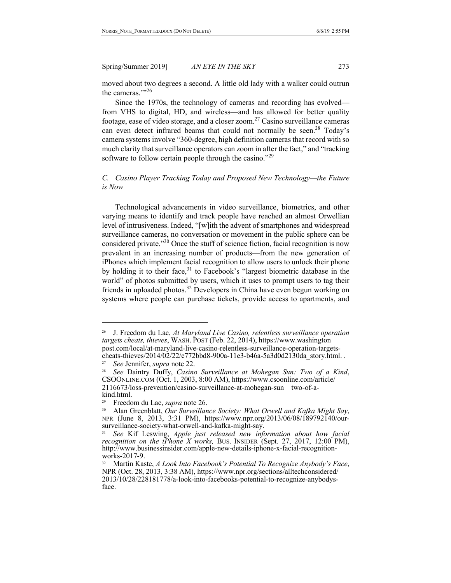moved about two degrees a second. A little old lady with a walker could outrun the cameras."<sup>26</sup>

Since the 1970s, the technology of cameras and recording has evolved from VHS to digital, HD, and wireless—and has allowed for better quality footage, ease of video storage, and a closer zoom.<sup>27</sup> Casino surveillance cameras can even detect infrared beams that could not normally be seen.<sup>28</sup> Today's camera systems involve "360-degree, high definition cameras that record with so much clarity that surveillance operators can zoom in after the fact," and "tracking software to follow certain people through the casino."<sup>29</sup>

## *C. Casino Player Tracking Today and Proposed New Technology—the Future is Now*

Technological advancements in video surveillance, biometrics, and other varying means to identify and track people have reached an almost Orwellian level of intrusiveness. Indeed, "[w]ith the advent of smartphones and widespread surveillance cameras, no conversation or movement in the public sphere can be considered private."30 Once the stuff of science fiction, facial recognition is now prevalent in an increasing number of products—from the new generation of iPhones which implement facial recognition to allow users to unlock their phone by holding it to their face, $31$  to Facebook's "largest biometric database in the world" of photos submitted by users, which it uses to prompt users to tag their friends in uploaded photos.<sup>32</sup> Developers in China have even begun working on systems where people can purchase tickets, provide access to apartments, and

<sup>26</sup> J. Freedom du Lac, *At Maryland Live Casino, relentless surveillance operation targets cheats, thieves*, WASH. POST (Feb. 22, 2014), https://www.washington post.com/local/at-maryland-live-casino-relentless-surveillance-operation-targets- cheats-thieves/2014/02/22/e772bbd8-900a-11e3-b46a-5a3d0d2130da\_story.html. .

<sup>27</sup> *See* Jennifer, *supra* note 22.

<sup>28</sup> *See* Daintry Duffy, *Casino Surveillance at Mohegan Sun: Two of a Kind*, CSOONLINE.COM (Oct. 1, 2003, 8:00 AM), https://www.csoonline.com/article/ 2116673/loss-prevention/casino-surveillance-at-mohegan-sun—two-of-a- kind.html.

<sup>29</sup> Freedom du Lac, *supra* note 26.

<sup>&</sup>lt;sup>30</sup> Alan Greenblatt, *Our Surveillance Society: What Orwell and Kafka Might Say*, NPR (June 8, 2013, 3:31 PM), https://www.npr.org/2013/06/08/189792140/our-surveillance-society-what-orwell-and-kafka-might-say.

See Kif Leswing, *Apple just released new information about how facial recognition on the iPhone X works,* BUS. INSIDER (Sept. 27, 2017, 12:00 PM), http://www.businessinsider.com/apple-new-details-iphone-x-facial-recognition- works-2017-9.

<sup>&</sup>lt;sup>32</sup> Martin Kaste, *A Look Into Facebook's Potential To Recognize Anybody's Face*, NPR (Oct. 28, 2013, 3:38 AM), https://www.npr.org/sections/alltechconsidered/ 2013/10/28/228181778/a-look-into-facebooks-potential-to-recognize-anybodys- face.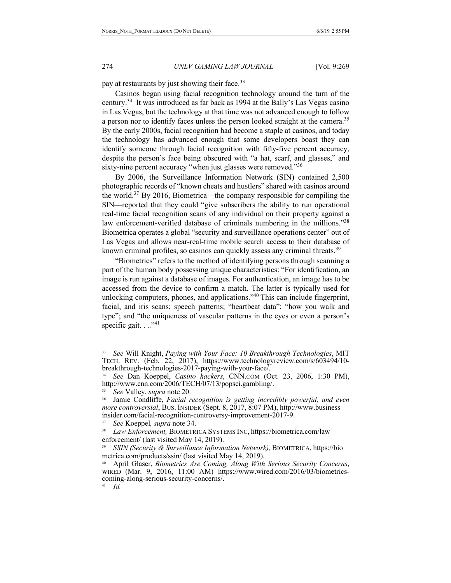pay at restaurants by just showing their face.<sup>33</sup>

Casinos began using facial recognition technology around the turn of the century.34 It was introduced as far back as 1994 at the Bally's Las Vegas casino in Las Vegas, but the technology at that time was not advanced enough to follow a person nor to identify faces unless the person looked straight at the camera.<sup>35</sup> By the early 2000s, facial recognition had become a staple at casinos, and today the technology has advanced enough that some developers boast they can identify someone through facial recognition with fifty-five percent accuracy, despite the person's face being obscured with "a hat, scarf, and glasses," and sixty-nine percent accuracy "when just glasses were removed."<sup>36</sup>

By 2006, the Surveillance Information Network (SIN) contained 2,500 photographic records of "known cheats and hustlers" shared with casinos around the world.<sup>37</sup> By 2016, Biometrica—the company responsible for compiling the SIN—reported that they could "give subscribers the ability to run operational real-time facial recognition scans of any individual on their property against a law enforcement-verified database of criminals numbering in the millions."<sup>38</sup> Biometrica operates a global "security and surveillance operations center" out of Las Vegas and allows near-real-time mobile search access to their database of known criminal profiles, so casinos can quickly assess any criminal threats.<sup>39</sup>

"Biometrics" refers to the method of identifying persons through scanning a part of the human body possessing unique characteristics: "For identification, an image is run against a database of images. For authentication, an image has to be accessed from the device to confirm a match. The latter is typically used for unlocking computers, phones, and applications."40 This can include fingerprint, facial, and iris scans; speech patterns; "heartbeat data"; "how you walk and type"; and "the uniqueness of vascular patterns in the eyes or even a person's specific gait.  $\ldots$ <sup>141</sup>

41 *Id.*

<sup>33</sup> *See* Will Knight, *Paying with Your Face: 10 Breakthrough Technologies*, MIT TECH. REV. (Feb. 22, 2017), https://www.technologyreview.com/s/603494/10- breakthrough-technologies-2017-paying-with-your-face/.

<sup>34</sup> *See* Dan Koeppel, *Casino hackers*, CNN.COM (Oct. 23, 2006, 1:30 PM), http://www.cnn.com/2006/TECH/07/13/popsci.gambling/.

<sup>35</sup> *See* Valley, *supra* note 20.

<sup>36</sup> Jamie Condliffe, *Facial recognition is getting incredibly powerful, and even more controversial*, BUS. INSIDER (Sept. 8, 2017, 8:07 PM), http://www.business insider.com/facial-recognition-controversy-improvement-2017-9.

<sup>37</sup> *See* Koeppel*, supra* note 34.

<sup>38</sup> *Law Enforcement,* BIOMETRICA SYSTEMS INC, https://biometrica.com/law enforcement/ (last visited May 14, 2019).

<sup>39</sup> *SSIN (Security & Surveillance Information Network),* BIOMETRICA, https://bio metrica.com/products/ssin/ (last visited May 14, 2019).

<sup>40</sup> April Glaser, *Biometrics Are Coming, Along With Serious Security Concerns*, WIRED (Mar. 9, 2016, 11:00 AM) https://www.wired.com/2016/03/biometrics- coming-along-serious-security-concerns/.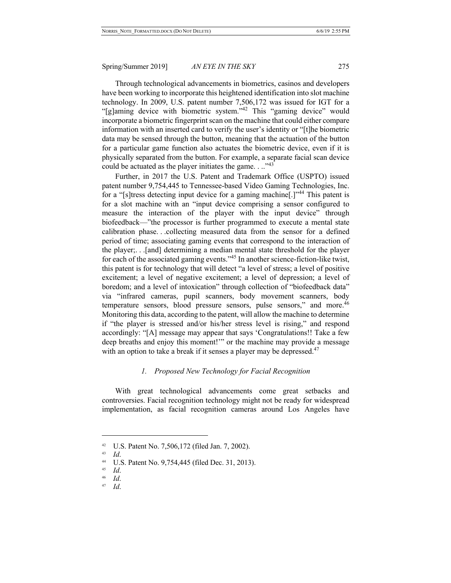Through technological advancements in biometrics, casinos and developers have been working to incorporate this heightened identification into slot machine technology. In 2009, U.S. patent number 7,506,172 was issued for IGT for a "[g]aming device with biometric system."<sup>42</sup> This "gaming device" would incorporate a biometric fingerprint scan on the machine that could either compare information with an inserted card to verify the user's identity or "[t]he biometric data may be sensed through the button, meaning that the actuation of the button for a particular game function also actuates the biometric device, even if it is physically separated from the button. For example, a separate facial scan device could be actuated as the player initiates the game. . .."<sup>43</sup>

Further, in 2017 the U.S. Patent and Trademark Office (USPTO) issued patent number 9,754,445 to Tennessee-based Video Gaming Technologies, Inc. for a "[s]tress detecting input device for a gaming machine[.]"<sup>44</sup> This patent is for a slot machine with an "input device comprising a sensor configured to measure the interaction of the player with the input device" through biofeedback—"the processor is further programmed to execute a mental state calibration phase. . .collecting measured data from the sensor for a defined period of time; associating gaming events that correspond to the interaction of the player;. . .[and] determining a median mental state threshold for the player for each of the associated gaming events."<sup>45</sup> In another science-fiction-like twist, this patent is for technology that will detect "a level of stress; a level of positive excitement; a level of negative excitement; a level of depression; a level of boredom; and a level of intoxication" through collection of "biofeedback data" via "infrared cameras, pupil scanners, body movement scanners, body temperature sensors, blood pressure sensors, pulse sensors," and more.<sup>46</sup> Monitoring this data, according to the patent, will allow the machine to determine if "the player is stressed and/or his/her stress level is rising," and respond accordingly: "[A] message may appear that says 'Congratulations!! Take a few deep breaths and enjoy this moment!'" or the machine may provide a message with an option to take a break if it senses a player may be depressed.<sup>47</sup>

### *1. Proposed New Technology for Facial Recognition*

With great technological advancements come great setbacks and controversies. Facial recognition technology might not be ready for widespread implementation, as facial recognition cameras around Los Angeles have

<sup>&</sup>lt;sup>42</sup> U.S. Patent No. 7,506,172 (filed Jan. 7, 2002).

*Id.* 

<sup>&</sup>lt;sup>44</sup> U.S. Patent No. 9,754,445 (filed Dec. 31, 2013).

 $\frac{45}{46}$  *Id*.

<sup>46</sup> *Id*.

<sup>47</sup> *Id*.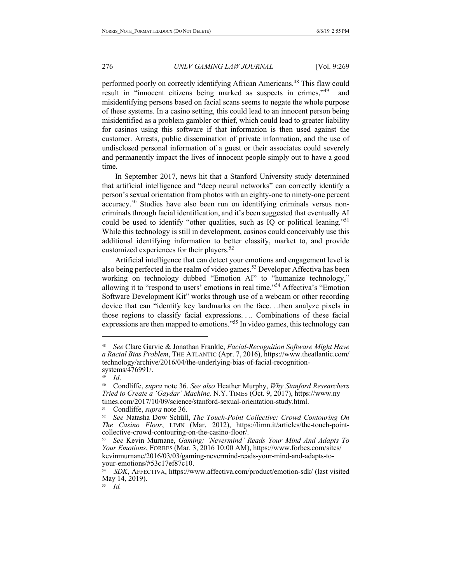performed poorly on correctly identifying African Americans.48 This flaw could result in "innocent citizens being marked as suspects in crimes,"49 and misidentifying persons based on facial scans seems to negate the whole purpose of these systems. In a casino setting, this could lead to an innocent person being misidentified as a problem gambler or thief, which could lead to greater liability for casinos using this software if that information is then used against the customer. Arrests, public dissemination of private information, and the use of undisclosed personal information of a guest or their associates could severely and permanently impact the lives of innocent people simply out to have a good time.

In September 2017, news hit that a Stanford University study determined that artificial intelligence and "deep neural networks" can correctly identify a person's sexual orientation from photos with an eighty-one to ninety-one percent accuracy.<sup>50</sup> Studies have also been run on identifying criminals versus noncriminals through facial identification, and it's been suggested that eventually AI could be used to identify "other qualities, such as IQ or political leaning."<sup>51</sup> While this technology is still in development, casinos could conceivably use this additional identifying information to better classify, market to, and provide customized experiences for their players.<sup>52</sup>

Artificial intelligence that can detect your emotions and engagement level is also being perfected in the realm of video games.<sup>53</sup> Developer Affectiva has been working on technology dubbed "Emotion AI" to "humanize technology," allowing it to "respond to users' emotions in real time."54 Affectiva's "Emotion Software Development Kit" works through use of a webcam or other recording device that can "identify key landmarks on the face. . .then analyze pixels in those regions to classify facial expressions. . .. Combinations of these facial expressions are then mapped to emotions."<sup>55</sup> In video games, this technology can

<sup>48</sup> *See* Clare Garvie & Jonathan Frankle, *Facial-Recognition Software Might Have a Racial Bias Problem*, THE ATLANTIC (Apr. 7, 2016), https://www.theatlantic.com/ technology/archive/2016/04/the-underlying-bias-of-facial-recognition-<br>systems/476991/.

 $\frac{49}{50}$  *Id.* 

<sup>50</sup> Condliffe, *supra* note 36. *See also* Heather Murphy, *Why Stanford Researchers Tried to Create a 'Gaydar' Machine,* N.Y. TIMES (Oct. 9, 2017), https://www.ny times.com/2017/10/09/science/stanford-sexual-orientation-study.html.<br><sup>51</sup> Condliffe, *supra* note 36.<br><sup>52</sup> *See* Natasha Dow Schüll, *The Touch-Point Collective: Crowd Contouring On* 

*The Casino Floor*, LIMN (Mar. 2012), https://limn.it/articles/the-touch-pointcollective-crowd-contouring-on-the-casino-floor/.

<sup>53</sup> *See* Kevin Murnane, *Gaming: 'Nevermind' Reads Your Mind And Adapts To Your Emotions*, FORBES (Mar. 3, 2016 10:00 AM), https://www.forbes.com/sites/ kevinmurnane/2016/03/03/gaming-nevermind-reads-your-mind-and-adapts-toyour-emotions/#53c17ef87c10.

<sup>54</sup> *SDK*, AFFECTIVA, https://www.affectiva.com/product/emotion-sdk/ (last visited May 14, 2019).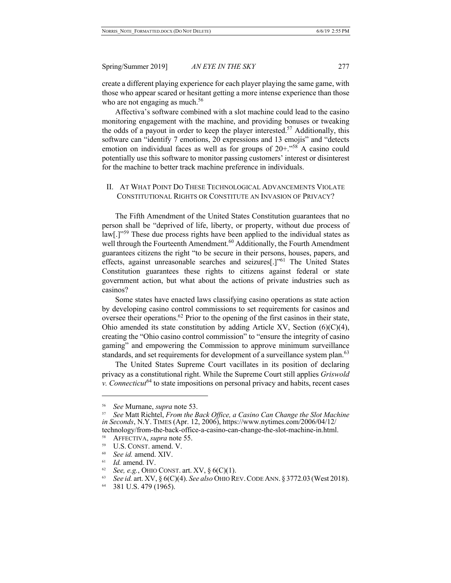create a different playing experience for each player playing the same game, with those who appear scared or hesitant getting a more intense experience than those who are not engaging as much.<sup>56</sup>

Affectiva's software combined with a slot machine could lead to the casino monitoring engagement with the machine, and providing bonuses or tweaking the odds of a payout in order to keep the player interested.<sup>57</sup> Additionally, this software can "identify 7 emotions, 20 expressions and 13 emojis" and "detects emotion on individual faces as well as for groups of  $20+$ ."<sup>58</sup> A casino could potentially use this software to monitor passing customers' interest or disinterest for the machine to better track machine preference in individuals.

## II. AT WHAT POINT DO THESE TECHNOLOGICAL ADVANCEMENTS VIOLATE CONSTITUTIONAL RIGHTS OR CONSTITUTE AN INVASION OF PRIVACY?

The Fifth Amendment of the United States Constitution guarantees that no person shall be "deprived of life, liberty, or property, without due process of law<sup>[1]</sup>.<sup>59</sup> These due process rights have been applied to the individual states as well through the Fourteenth Amendment.<sup>60</sup> Additionally, the Fourth Amendment guarantees citizens the right "to be secure in their persons, houses, papers, and effects, against unreasonable searches and seizures<sup>[1]</sup><sup>161</sup> The United States Constitution guarantees these rights to citizens against federal or state government action, but what about the actions of private industries such as casinos?

Some states have enacted laws classifying casino operations as state action by developing casino control commissions to set requirements for casinos and oversee their operations.<sup>62</sup> Prior to the opening of the first casinos in their state, Ohio amended its state constitution by adding Article XV, Section (6)(C)(4), creating the "Ohio casino control commission" to "ensure the integrity of casino gaming" and empowering the Commission to approve minimum surveillance standards, and set requirements for development of a surveillance system plan.<sup>63</sup>

The United States Supreme Court vacillates in its position of declaring privacy as a constitutional right. While the Supreme Court still applies *Griswold v. Connecticut*<sup>64</sup> to state impositions on personal privacy and habits, recent cases

<sup>56</sup> *See* Murnane, *supra* note 53.

<sup>57</sup> *See* Matt Richtel, *From the Back Office, a Casino Can Change the Slot Machine in Seconds*, N.Y. TIMES (Apr. 12, 2006), https://www.nytimes.com/2006/04/12/ technology/from-the-back-office-a-casino-can-change-the-slot-machine-in.html.

<sup>58</sup> AFFECTIVA, *supra* note 55.

 $^{59}$  U.S. CONST. amend. V.

 $^{60}$  *See id.* amend. XIV.

Id. amend. IV.

<sup>62</sup> *See, e.g.*, OHIO CONST. art. XV,  $\S 6(C)(1)$ .

<sup>63</sup> *See id.* art. XV, § 6(C)(4). *See also* OHIO REV.CODE ANN. § 3772.03 (West 2018).

<sup>64 381</sup> U.S. 479 (1965).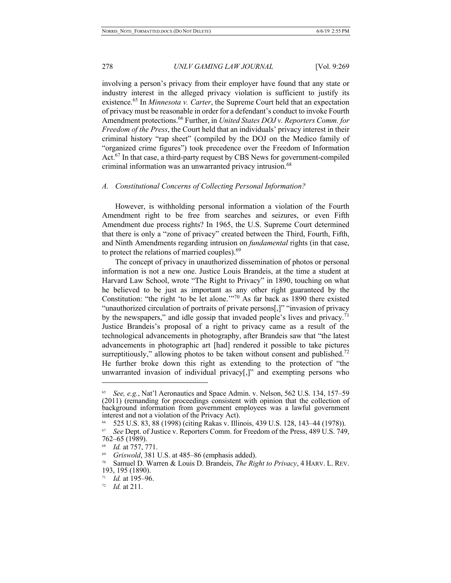involving a person's privacy from their employer have found that any state or industry interest in the alleged privacy violation is sufficient to justify its existence.<sup>65</sup> In *Minnesota v. Carter*, the Supreme Court held that an expectation of privacy must be reasonable in order for a defendant's conduct to invoke Fourth Amendment protections.<sup>66</sup> Further, in *United States DOJ v. Reporters Comm. for Freedom of the Press*, the Court held that an individuals' privacy interest in their criminal history "rap sheet" (compiled by the DOJ on the Medico family of "organized crime figures") took precedence over the Freedom of Information Act.<sup>67</sup> In that case, a third-party request by CBS News for government-compiled criminal information was an unwarranted privacy intrusion.<sup>68</sup>

#### *A. Constitutional Concerns of Collecting Personal Information?*

However, is withholding personal information a violation of the Fourth Amendment right to be free from searches and seizures, or even Fifth Amendment due process rights? In 1965, the U.S. Supreme Court determined that there is only a "zone of privacy" created between the Third, Fourth, Fifth, and Ninth Amendments regarding intrusion on *fundamental* rights (in that case, to protect the relations of married couples). $69$ 

The concept of privacy in unauthorized dissemination of photos or personal information is not a new one. Justice Louis Brandeis, at the time a student at Harvard Law School, wrote "The Right to Privacy" in 1890, touching on what he believed to be just as important as any other right guaranteed by the Constitution: "the right 'to be let alone.'"<sup>70</sup> As far back as 1890 there existed "unauthorized circulation of portraits of private persons[,]" "invasion of privacy by the newspapers," and idle gossip that invaded people's lives and privacy.<sup>71</sup> Justice Brandeis's proposal of a right to privacy came as a result of the technological advancements in photography, after Brandeis saw that "the latest advancements in photographic art [had] rendered it possible to take pictures surreptitiously," allowing photos to be taken without consent and published.<sup>72</sup> He further broke down this right as extending to the protection of "the unwarranted invasion of individual privacy[,]" and exempting persons who

<sup>65</sup> *See, e.g.*, Nat'l Aeronautics and Space Admin. v. Nelson, 562 U.S. 134, 157–59 (2011) (remanding for proceedings consistent with opinion that the collection of background information from government employees was a lawful government interest and not a violation of the Privacy Act).

<sup>66 525</sup> U.S. 83, 88 (1998) (citing Rakas v. Illinois, 439 U.S. 128, 143–44 (1978)). 67 *See* Dept. of Justice v. Reporters Comm. for Freedom of the Press, 489 U.S. 749,

<sup>762–65 (1989).</sup>

<sup>68</sup> *Id.* at 757, 771.

<sup>&</sup>lt;sup>69</sup> Griswold, 381 U.S. at 485–86 (emphasis added).<br><sup>70</sup> Samuel D. Warren & Louis D. Brandeis, *The Right to Privacy*, 4 HARV. L. REV. 193, 195 (1890).

<sup>71</sup> *Id.* at 195–96.

<sup>72</sup> *Id.* at 211.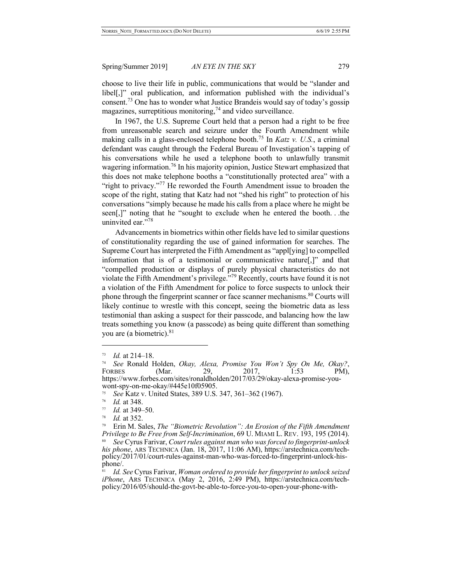choose to live their life in public, communications that would be "slander and libel[,]" oral publication, and information published with the individual's consent.<sup>73</sup> One has to wonder what Justice Brandeis would say of today's gossip magazines, surreptitious monitoring, $74$  and video surveillance.

In 1967, the U.S. Supreme Court held that a person had a right to be free from unreasonable search and seizure under the Fourth Amendment while making calls in a glass-enclosed telephone booth.75 In *Katz v. U.S.*, a criminal defendant was caught through the Federal Bureau of Investigation's tapping of his conversations while he used a telephone booth to unlawfully transmit wagering information.<sup>76</sup> In his majority opinion, Justice Stewart emphasized that this does not make telephone booths a "constitutionally protected area" with a "right to privacy."<sup>77</sup> He reworded the Fourth Amendment issue to broaden the scope of the right, stating that Katz had not "shed his right" to protection of his conversations "simply because he made his calls from a place where he might be seen[,]" noting that he "sought to exclude when he entered the booth. . .the uninvited ear."<sup>78</sup>

Advancements in biometrics within other fields have led to similar questions of constitutionality regarding the use of gained information for searches. The Supreme Court has interpreted the Fifth Amendment as "appl[ying] to compelled information that is of a testimonial or communicative nature[,]" and that "compelled production or displays of purely physical characteristics do not violate the Fifth Amendment's privilege."<sup>79</sup> Recently, courts have found it is not a violation of the Fifth Amendment for police to force suspects to unlock their phone through the fingerprint scanner or face scanner mechanisms.<sup>80</sup> Courts will likely continue to wrestle with this concept, seeing the biometric data as less testimonial than asking a suspect for their passcode, and balancing how the law treats something you know (a passcode) as being quite different than something you are (a biometric). $81$ 

 $^{73}$  *Id.* at 214–18.

<sup>74</sup> *See* Ronald Holden, *Okay, Alexa, Promise You Won't Spy On Me, Okay?*, FORBES (Mar. 29, 2017, 1:53 PM), https://www.forbes.com/sites/ronaldholden/2017/03/29/okay-alexa-promise-you- wont-spy-on-me-okay/#445e10f05905.

<sup>75</sup> *See* Katz v. United States, 389 U.S. 347, 361–362 (1967).

 $\frac{76}{77}$  *Id.* at 348.

 $\frac{77}{78}$  *Id.* at 349–50.

*Id.* at 352.

<sup>79</sup> Erin M. Sales, *The "Biometric Revolution": An Erosion of the Fifth Amendment Privilege to Be Free from Self-Incrimination*, 69 U. MIAMI L. REV. 193, 195 (2014). <sup>80</sup> *See* Cyrus Farivar, *Court rules against man who was forced to fingerprint-unlock his phone*, ARS TECHNICA (Jan. 18, 2017, 11:06 AM), https://arstechnica.com/techpolicy/2017/01/court-rules-against-man-who-was-forced-to-fingerprint-unlock-his-<br>phone/.

<sup>81</sup> *Id. See* Cyrus Farivar, *Woman ordered to provide her fingerprint to unlock seized iPhone*, ARS TECHNICA (May 2, 2016, 2:49 PM), https://arstechnica.com/tech-<br>policy/2016/05/should-the-govt-be-able-to-force-you-to-open-your-phone-with-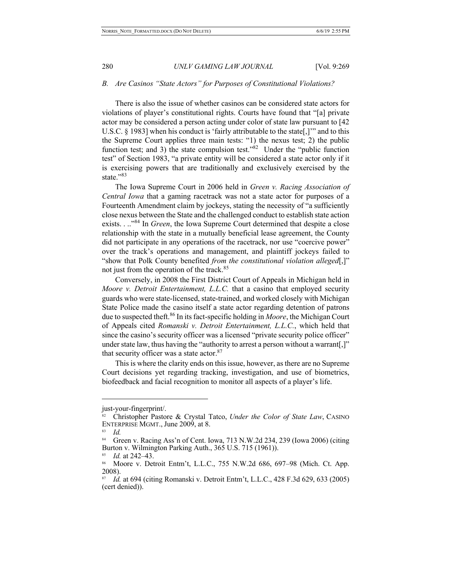#### *B. Are Casinos "State Actors" for Purposes of Constitutional Violations?*

There is also the issue of whether casinos can be considered state actors for violations of player's constitutional rights. Courts have found that "[a] private actor may be considered a person acting under color of state law pursuant to [42 U.S.C.  $\S$  1983] when his conduct is 'fairly attributable to the state [.]" and to this the Supreme Court applies three main tests: "1) the nexus test; 2) the public function test; and 3) the state compulsion test." $82$  Under the "public function test" of Section 1983, "a private entity will be considered a state actor only if it is exercising powers that are traditionally and exclusively exercised by the state."<sup>83</sup>

The Iowa Supreme Court in 2006 held in *Green v. Racing Association of Central Iowa* that a gaming racetrack was not a state actor for purposes of a Fourteenth Amendment claim by jockeys, stating the necessity of "a sufficiently close nexus between the State and the challenged conduct to establish state action exists. . .."<sup>84</sup> In *Green*, the Iowa Supreme Court determined that despite a close relationship with the state in a mutually beneficial lease agreement, the County did not participate in any operations of the racetrack, nor use "coercive power" over the track's operations and management, and plaintiff jockeys failed to "show that Polk County benefited *from the constitutional violation alleged*[,]" not just from the operation of the track.<sup>85</sup>

Conversely, in 2008 the First District Court of Appeals in Michigan held in *Moore v. Detroit Entertainment, L.L.C.* that a casino that employed security guards who were state-licensed, state-trained, and worked closely with Michigan State Police made the casino itself a state actor regarding detention of patrons due to suspected theft.<sup>86</sup> In its fact-specific holding in *Moore*, the Michigan Court of Appeals cited *Romanski v. Detroit Entertainment, L.L.C.*, which held that since the casino's security officer was a licensed "private security police officer" under state law, thus having the "authority to arrest a person without a warrant[,]" that security officer was a state actor.<sup>87</sup>

This is where the clarity ends on this issue, however, as there are no Supreme Court decisions yet regarding tracking, investigation, and use of biometrics, biofeedback and facial recognition to monitor all aspects of a player's life.

just-your-fingerprint/.

<sup>82</sup> Christopher Pastore & Crystal Tatco, *Under the Color of State Law*, CASINO ENTERPRISE MGMT., June 2009, at 8.

 $rac{83}{84}$  *Id.* 

<sup>84</sup> Green v. Racing Ass'n of Cent. Iowa, 713 N.W.2d 234, 239 (Iowa 2006) (citing Burton v. Wilmington Parking Auth., 365 U.S. 715 (1961)).

<sup>85</sup> *Id.* at 242–43.

<sup>86</sup> Moore v. Detroit Entm't, L.L.C., 755 N.W.2d 686, 697–98 (Mich. Ct. App. 2008).

<sup>87</sup> *Id.* at 694 (citing Romanski v. Detroit Entm't, L.L.C., 428 F.3d 629, 633 (2005) (cert denied)).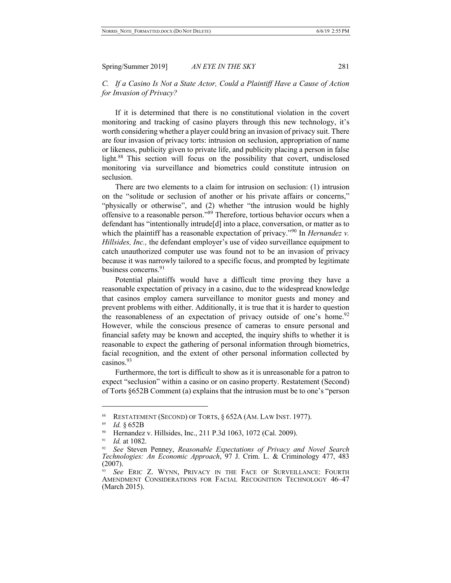*C. If a Casino Is Not a State Actor, Could a Plaintiff Have a Cause of Action for Invasion of Privacy?*

If it is determined that there is no constitutional violation in the covert monitoring and tracking of casino players through this new technology, it's worth considering whether a player could bring an invasion of privacy suit. There are four invasion of privacy torts: intrusion on seclusion, appropriation of name or likeness, publicity given to private life, and publicity placing a person in false light.<sup>88</sup> This section will focus on the possibility that covert, undisclosed monitoring via surveillance and biometrics could constitute intrusion on seclusion.

There are two elements to a claim for intrusion on seclusion: (1) intrusion on the "solitude or seclusion of another or his private affairs or concerns," "physically or otherwise", and (2) whether "the intrusion would be highly offensive to a reasonable person."<sup>89</sup> Therefore, tortious behavior occurs when a defendant has "intentionally intrude[d] into a place, conversation, or matter as to which the plaintiff has a reasonable expectation of privacy."<sup>90</sup> In *Hernandez v*. *Hillsides, Inc.,* the defendant employer's use of video surveillance equipment to catch unauthorized computer use was found not to be an invasion of privacy because it was narrowly tailored to a specific focus, and prompted by legitimate business concerns.<sup>91</sup>

Potential plaintiffs would have a difficult time proving they have a reasonable expectation of privacy in a casino, due to the widespread knowledge that casinos employ camera surveillance to monitor guests and money and prevent problems with either. Additionally, it is true that it is harder to question the reasonableness of an expectation of privacy outside of one's home.<sup>92</sup> However, while the conscious presence of cameras to ensure personal and financial safety may be known and accepted, the inquiry shifts to whether it is reasonable to expect the gathering of personal information through biometrics, facial recognition, and the extent of other personal information collected by casinos.<sup>93</sup>

Furthermore, the tort is difficult to show as it is unreasonable for a patron to expect "seclusion" within a casino or on casino property. Restatement (Second) of Torts §652B Comment (a) explains that the intrusion must be to one's "person

<sup>88</sup> RESTATEMENT (SECOND) OF TORTS, § 652A (AM. LAW INST. 1977).

<sup>89</sup> *Id.* § 652B

<sup>&</sup>lt;sup>90</sup> Hernandez v. Hillsides, Inc., 211 P.3d 1063, 1072 (Cal. 2009).

<sup>&</sup>lt;sup>91</sup> *Id.* at 1082.

<sup>92</sup> *See* Steven Penney, *Reasonable Expectations of Privacy and Novel Search Technologies: An Economic Approach*, 97 J. Crim. L. & Criminology 477, 483 (2007).

<sup>93</sup> *See* ERIC Z. WYNN, PRIVACY IN THE FACE OF SURVEILLANCE: FOURTH AMENDMENT CONSIDERATIONS FOR FACIAL RECOGNITION TECHNOLOGY 46–47 (March 2015).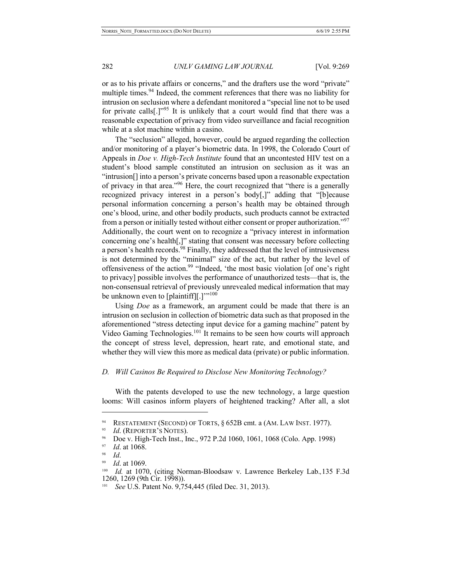or as to his private affairs or concerns," and the drafters use the word "private" multiple times.<sup>94</sup> Indeed, the comment references that there was no liability for intrusion on seclusion where a defendant monitored a "special line not to be used for private calls<sup>[1,1995</sup>] It is unlikely that a court would find that there was a reasonable expectation of privacy from video surveillance and facial recognition while at a slot machine within a casino.

The "seclusion" alleged, however, could be argued regarding the collection and/or monitoring of a player's biometric data. In 1998, the Colorado Court of Appeals in *Doe v. High-Tech Institute* found that an uncontested HIV test on a student's blood sample constituted an intrusion on seclusion as it was an "intrusion[] into a person's private concerns based upon a reasonable expectation of privacy in that area."<sup>96</sup> Here, the court recognized that "there is a generally recognized privacy interest in a person's body[,]" adding that "[b]ecause personal information concerning a person's health may be obtained through one's blood, urine, and other bodily products, such products cannot be extracted from a person or initially tested without either consent or proper authorization."<sup>97</sup> Additionally, the court went on to recognize a "privacy interest in information concerning one's health[,]" stating that consent was necessary before collecting a person's health records.<sup>98</sup> Finally, they addressed that the level of intrusiveness is not determined by the "minimal" size of the act, but rather by the level of offensiveness of the action.<sup>99</sup> "Indeed, 'the most basic violation [of one's right to privacy] possible involves the performance of unauthorized tests—that is, the non-consensual retrieval of previously unrevealed medical information that may be unknown even to [plaintiff][.]"<sup>100</sup>

Using *Doe* as a framework, an argument could be made that there is an intrusion on seclusion in collection of biometric data such as that proposed in the aforementioned "stress detecting input device for a gaming machine" patent by Video Gaming Technologies.<sup>101</sup> It remains to be seen how courts will approach the concept of stress level, depression, heart rate, and emotional state, and whether they will view this more as medical data (private) or public information.

## *D. Will Casinos Be Required to Disclose New Monitoring Technology?*

With the patents developed to use the new technology, a large question looms: Will casinos inform players of heightened tracking? After all, a slot

<sup>&</sup>lt;sup>94</sup> RESTATEMENT (SECOND) OF TORTS,  $\S 652B$  cmt. a (AM. LAW INST. 1977).

*Id.* (REPORTER'S NOTES).

Doe v. High-Tech Inst., Inc., 972 P.2d 1060, 1061, 1068 (Colo. App. 1998)

<sup>97</sup> *Id*. at 1068.

<sup>98</sup> *Id*.

*Id.* at 1069.

<sup>100</sup> *Id.* at 1070, (citing Norman-Bloodsaw v. Lawrence Berkeley Lab.*,*135 F.3d 1260, 1269 (9th Cir. 1998)).

<sup>101</sup> *See* U.S. Patent No. 9,754,445 (filed Dec. 31, 2013).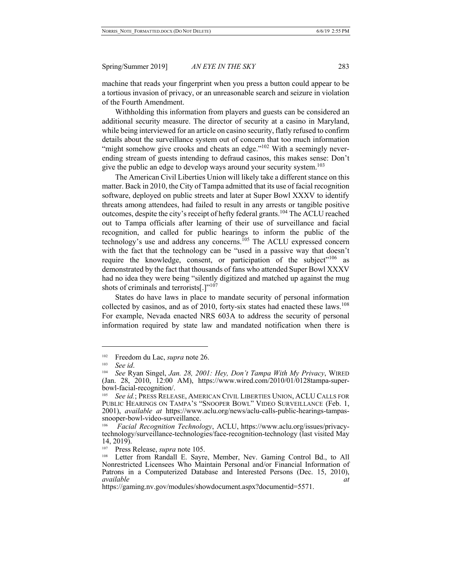machine that reads your fingerprint when you press a button could appear to be a tortious invasion of privacy, or an unreasonable search and seizure in violation of the Fourth Amendment.

Withholding this information from players and guests can be considered an additional security measure. The director of security at a casino in Maryland, while being interviewed for an article on casino security, flatly refused to confirm details about the surveillance system out of concern that too much information "might somehow give crooks and cheats an edge." $102$  With a seemingly neverending stream of guests intending to defraud casinos, this makes sense: Don't give the public an edge to develop ways around your security system.<sup>103</sup>

The American Civil Liberties Union will likely take a different stance on this matter. Back in 2010, the City of Tampa admitted that its use of facial recognition software, deployed on public streets and later at Super Bowl XXXV to identify threats among attendees, had failed to result in any arrests or tangible positive outcomes, despite the city's receipt of hefty federal grants.<sup>104</sup> The ACLU reached out to Tampa officials after learning of their use of surveillance and facial recognition, and called for public hearings to inform the public of the technology's use and address any concerns.<sup>105</sup> The ACLU expressed concern with the fact that the technology can be "used in a passive way that doesn't require the knowledge, consent, or participation of the subject"<sup>106</sup> as demonstrated by the fact that thousands of fans who attended Super Bowl XXXV had no idea they were being "silently digitized and matched up against the mug shots of criminals and terrorists[.]"<sup>107</sup>

States do have laws in place to mandate security of personal information collected by casinos, and as of 2010, forty-six states had enacted these laws.<sup>108</sup> For example, Nevada enacted NRS 603A to address the security of personal information required by state law and mandated notification when there is

<sup>&</sup>lt;sup>102</sup> Freedom du Lac, *supra* note 26.

See *id*.

<sup>104</sup> *See* Ryan Singel, *Jan. 28, 2001: Hey, Don't Tampa With My Privacy*, WIRED (Jan. 28, 2010, 12:00 AM), https://www.wired.com/2010/01/0128tampa-superbowl-facial-recognition/.

<sup>105</sup> *See id.*; PRESS RELEASE, AMERICAN CIVIL LIBERTIES UNION, ACLU CALLS FOR PUBLIC HEARINGS ON TAMPA'S "SNOOPER BOWL" VIDEO SURVEILLANCE (Feb. 1, 2001), *available at* https://www.aclu.org/news/aclu-calls-public-hearings-tampas- snooper-bowl-video-surveillance.

<sup>106</sup>*Facial Recognition Technology*, ACLU, https://www.aclu.org/issues/privacy- technology/surveillance-technologies/face-recognition-technology (last visited May 14, 2019).

<sup>&</sup>lt;sup>107</sup> Press Release, *supra* note 105.<br><sup>108</sup> Letter from Randall E. Savre

Letter from Randall E. Sayre, Member, Nev. Gaming Control Bd., to All Nonrestricted Licensees Who Maintain Personal and/or Financial Information of Patrons in a Computerized Database and Interested Persons (Dec. 15, 2010), *available at*

https://gaming.nv.gov/modules/showdocument.aspx?documentid=5571.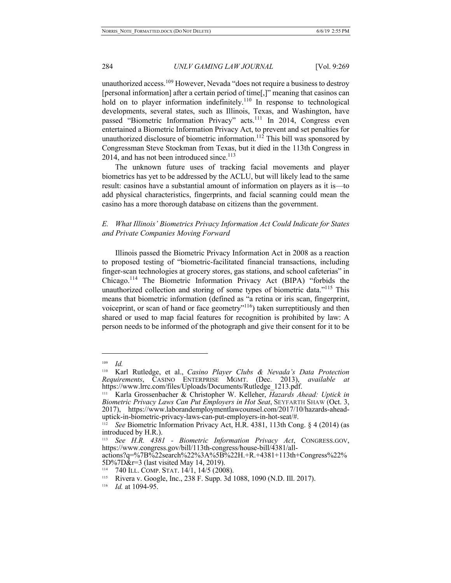unauthorized access.<sup>109</sup> However, Nevada "does not require a business to destroy [personal information] after a certain period of time[,]" meaning that casinos can hold on to player information indefinitely.<sup>110</sup> In response to technological developments, several states, such as Illinois, Texas, and Washington, have passed "Biometric Information Privacy" acts.<sup>111</sup> In 2014, Congress even entertained a Biometric Information Privacy Act, to prevent and set penalties for unauthorized disclosure of biometric information.<sup>112</sup> This bill was sponsored by Congressman Steve Stockman from Texas, but it died in the 113th Congress in 2014, and has not been introduced since. $113$ 

The unknown future uses of tracking facial movements and player biometrics has yet to be addressed by the ACLU, but will likely lead to the same result: casinos have a substantial amount of information on players as it is—to add physical characteristics, fingerprints, and facial scanning could mean the casino has a more thorough database on citizens than the government.

## *E. What Illinois' Biometrics Privacy Information Act Could Indicate for States and Private Companies Moving Forward*

Illinois passed the Biometric Privacy Information Act in 2008 as a reaction to proposed testing of "biometric-facilitated financial transactions, including finger-scan technologies at grocery stores, gas stations, and school cafeterias" in Chicago.<sup>114</sup> The Biometric Information Privacy Act (BIPA) "forbids the unauthorized collection and storing of some types of biometric data."<sup>115</sup> This means that biometric information (defined as "a retina or iris scan, fingerprint, voiceprint, or scan of hand or face geometry $^{\prime\prime}$ <sup>116</sup>) taken surreptitiously and then shared or used to map facial features for recognition is prohibited by law: A person needs to be informed of the photograph and give their consent for it to be

<sup>109</sup> *Id.*

<sup>110</sup> Karl Rutledge, et al., *Casino Player Clubs & Nevada's Data Protection Requirements*, CASINO ENTERPRISE MGMT. (Dec. 2013), *available at* https://www.lrrc.com/files/Uploads/Documents/Rutledge\_1213.pdf.

<sup>111</sup> Karla Grossenbacher & Christopher W. Kelleher, *Hazards Ahead: Uptick in Biometric Privacy Laws Can Put Employers in Hot Seat*, SEYFARTH SHAW (Oct. 3, 2017), https://www.laborandemploymentlawcounsel.com/2017/10/hazards-ahead-<br>uptick-in-biometric-privacy-laws-can-put-employers-in-hot-seat/#.<br><sup>112</sup> See Biometric Information Privacy Act, H.R. 4381, 113th Cong. 8.4.(2014).(e

<sup>112</sup> *See* Biometric Information Privacy Act, H.R. 4381, 113th Cong. § 4 (2014) (as introduced by H.R.).

<sup>&</sup>lt;sup>113</sup> See H.R. 4381 - *Biometric Information Privacy Act*, CONGRESS.GOV, https://www.congress.gov/bill/113th-congress/house-bill/4381/all- actions?q=%7B%22search%22%3A%5B%22H.+R.+4381+113th+Congress%22%

<sup>5</sup>D%7D&r=3 (last visited May 14, 2019).

<sup>&</sup>lt;sup>114</sup> 740 ILL. COMP. STAT.  $14/1$ ,  $14/5$  (2008).<br><sup>115</sup> Rivera y Google Inc. 238 F Supp. 3d

<sup>115</sup> Rivera v. Google, Inc., 238 F. Supp. 3d 1088, 1090 (N.D. Ill. 2017).

<sup>116</sup> *Id.* at 1094-95.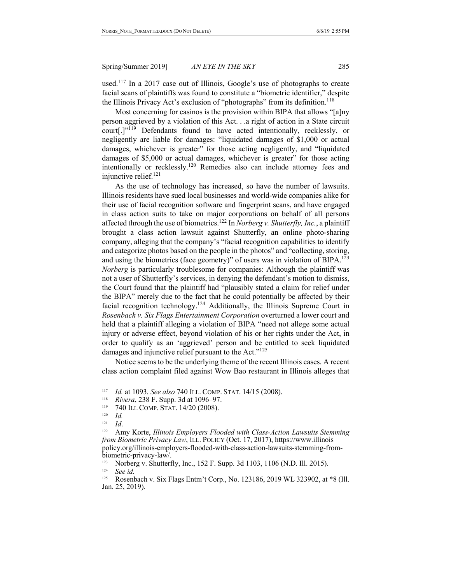used.<sup>117</sup> In a 2017 case out of Illinois, Google's use of photographs to create facial scans of plaintiffs was found to constitute a "biometric identifier," despite the Illinois Privacy Act's exclusion of "photographs" from its definition.<sup>118</sup>

Most concerning for casinos is the provision within BIPA that allows "[a]ny person aggrieved by a violation of this Act. . .a right of action in a State circuit court[.]"<sup>119</sup> Defendants found to have acted intentionally, recklessly, or negligently are liable for damages: "liquidated damages of \$1,000 or actual damages, whichever is greater" for those acting negligently, and "liquidated damages of \$5,000 or actual damages, whichever is greater" for those acting intentionally or recklessly.120 Remedies also can include attorney fees and injunctive relief.<sup>121</sup>

As the use of technology has increased, so have the number of lawsuits. Illinois residents have sued local businesses and world-wide companies alike for their use of facial recognition software and fingerprint scans, and have engaged in class action suits to take on major corporations on behalf of all persons affected through the use of biometrics.122 In *Norberg v. Shutterfly, Inc.*, a plaintiff brought a class action lawsuit against Shutterfly, an online photo-sharing company, alleging that the company's "facial recognition capabilities to identify and categorize photos based on the people in the photos" and "collecting, storing, and using the biometrics (face geometry)" of users was in violation of BIPA.<sup>123</sup> *Norberg* is particularly troublesome for companies: Although the plaintiff was not a user of Shutterfly's services, in denying the defendant's motion to dismiss, the Court found that the plaintiff had "plausibly stated a claim for relief under the BIPA" merely due to the fact that he could potentially be affected by their facial recognition technology.<sup>124</sup> Additionally, the Illinois Supreme Court in *Rosenbach v. Six Flags Entertainment Corporation* overturned a lower court and held that a plaintiff alleging a violation of BIPA "need not allege some actual injury or adverse effect, beyond violation of his or her rights under the Act, in order to qualify as an 'aggrieved' person and be entitled to seek liquidated damages and injunctive relief pursuant to the Act."<sup>125</sup>

Notice seems to be the underlying theme of the recent Illinois cases. A recent class action complaint filed against Wow Bao restaurant in Illinois alleges that

<sup>117</sup> *Id.* at 1093. *See also* 740 ILL. COMP. STAT. 14/15 (2008).

<sup>118</sup>*Rivera*, 238 F. Supp. 3d at 1096–97. 119 740 ILL COMP. STAT. 14/20 (2008).

<sup>120</sup> *Id.*

<sup>121</sup> *Id*.

<sup>&</sup>lt;sup>122</sup> Amy Korte, *Illinois Employers Flooded with Class-Action Lawsuits Stemming from Biometric Privacy Law*, ILL. POLICY (Oct. 17, 2017), https://www.illinois policy.org/illinois-employers-flooded-with-class-action-lawsuits-stemming-from-<br>biometric-privacy-law/.<br><sup>123</sup> Norberg v. Shutterfly, Inc., 152 F. Supp. 3d 1103, 1106 (N.D. Ill. 2015).<br><sup>124</sup> See id

<sup>&</sup>lt;sup>124</sup> *See id.*<br><sup>125</sup> **Rosenk** 

<sup>125</sup> Rosenbach v. Six Flags Entm't Corp., No. 123186, 2019 WL 323902, at \*8 (Ill. Jan. 25, 2019).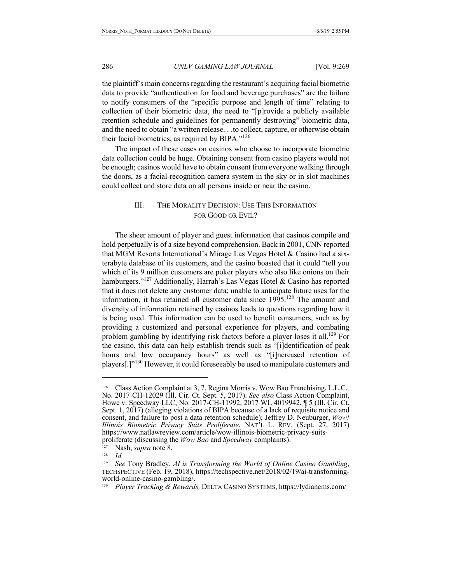the plaintiff's main concerns regarding the restaurant's acquiring facial biometric data to provide "authentication for food and beverage purchases" are the failure to notify consumers of the "specific purpose and length of time" relating to collection of their biometric data, the need to "[p]rovide a publicly available retention schedule and guidelines for permanently destroying" biometric data, and the need to obtain "a written release. . .to collect, capture, or otherwise obtain their facial biometrics, as required by  $BIPA.^{"126}$ 

The impact of these cases on casinos who choose to incorporate biometric data collection could be huge. Obtaining consent from casino players would not be enough; casinos would have to obtain consent from everyone walking through the doors, as a facial-recognition camera system in the sky or in slot machines could collect and store data on all persons inside or near the casino.

# III. THE MORALITY DECISION: USE THIS INFORMATION FOR GOOD OR EVIL?

The sheer amount of player and guest information that casinos compile and hold perpetually is of a size beyond comprehension. Back in 2001, CNN reported that MGM Resorts International's Mirage Las Vegas Hotel & Casino had a sixterabyte database of its customers, and the casino boasted that it could "tell you which of its 9 million customers are poker players who also like onions on their hamburgers."<sup>127</sup> Additionally, Harrah's Las Vegas Hotel & Casino has reported that it does not delete any customer data; unable to anticipate future uses for the information, it has retained all customer data since  $1995$ .<sup>128</sup> The amount and diversity of information retained by casinos leads to questions regarding how it is being used. This information can be used to benefit consumers, such as by providing a customized and personal experience for players, and combating problem gambling by identifying risk factors before a player loses it all.<sup>129</sup> For the casino, this data can help establish trends such as "[i]dentification of peak hours and low occupancy hours" as well as "[i]ncreased retention of players<sup>[1]</sup><sup>130</sup> However, it could foreseeably be used to manipulate customers and

<sup>126</sup> Class Action Complaint at 3, 7, Regina Morris v. Wow Bao Franchising, L.L.C.*,* No. 2017-CH-12029 (Ill. Cir. Ct. Sept. 5, 2017). *See also* Class Action Complaint, Howe v. Speedway LLC, No. 2017-CH-11992, 2017 WL 4019942, ¶ 5 (Ill. Cir. Ct. Sept. 1, 2017) (alleging violations of BIPA because of a lack of requisite notice and consent, and failure to post a data retention schedule); Jeffrey D. Neuburger, *Wow! Illinois Biometric Privacy Suits Proliferate*, NAT'L L. REV. (Sept. 27, 2017) https://www.natlawreview.com/article/wow-illinois-biometric-privacy-suits- proliferate (discussing the *Wow Bao* and *Speedway* complaints).

Nash, *supra* note 8.

<sup>128</sup> *Id.*

<sup>&</sup>lt;sup>129</sup> See Tony Bradley, *AI is Transforming the World of Online Casino Gambling*, TECHSPECTIVE (Feb. 19, 2018), https://techspective.net/2018/02/19/ai-transforming-world-online-casino-gambling/.

<sup>130</sup> *Player Tracking & Rewards,* DELTA CASINO SYSTEMS, https://lydiancms.com/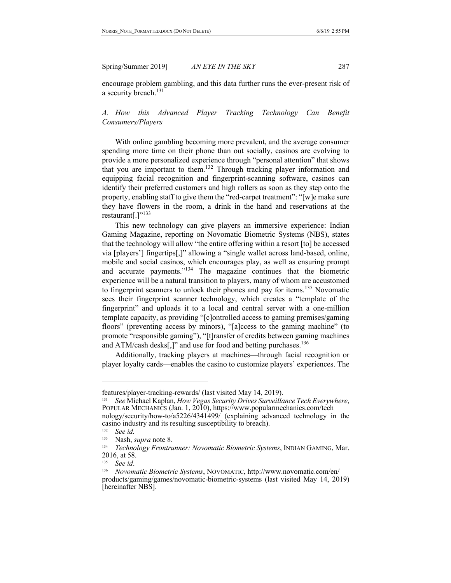encourage problem gambling, and this data further runs the ever-present risk of a security breach.<sup>131</sup>

# *A. How this Advanced Player Tracking Technology Can Benefit Consumers/Players*

With online gambling becoming more prevalent, and the average consumer spending more time on their phone than out socially, casinos are evolving to provide a more personalized experience through "personal attention" that shows that you are important to them.<sup>132</sup> Through tracking player information and equipping facial recognition and fingerprint-scanning software, casinos can identify their preferred customers and high rollers as soon as they step onto the property, enabling staff to give them the "red-carpet treatment": "[w]e make sure they have flowers in the room, a drink in the hand and reservations at the restaurant $[.]$ "<sup>133</sup>

This new technology can give players an immersive experience: Indian Gaming Magazine, reporting on Novomatic Biometric Systems (NBS), states that the technology will allow "the entire offering within a resort [to] be accessed via [players'] fingertips[,]" allowing a "single wallet across land-based, online, mobile and social casinos, which encourages play, as well as ensuring prompt and accurate payments."<sup>134</sup> The magazine continues that the biometric experience will be a natural transition to players, many of whom are accustomed to fingerprint scanners to unlock their phones and pay for items.<sup>135</sup> Novomatic sees their fingerprint scanner technology, which creates a "template of the fingerprint" and uploads it to a local and central server with a one-million template capacity, as providing "[c]ontrolled access to gaming premises/gaming floors" (preventing access by minors), "[a]ccess to the gaming machine" (to promote "responsible gaming"), "[t]ransfer of credits between gaming machines and ATM/cash desks[,]" and use for food and betting purchases.<sup>136</sup>

Additionally, tracking players at machines—through facial recognition or player loyalty cards—enables the casino to customize players' experiences. The

features/player-tracking-rewards/ (last visited May 14, 2019).<br><sup>131</sup> See Michael Kaplan, *How Vegas Security Drives Surveillance Tech Everywhere*, <sup>131</sup> See Michael Kaplan, *How Vegas Security Drives Surveillance Tech Everywighter Popular Mechanics (Jan. 1, 2010), https://www.popularmechanics.com/tech* nology/security/how-to/a5226/4341499/ (explaining advanced technology in the casino industry and its resulting susceptibility to breach).

<sup>132</sup> *See id.*

<sup>&</sup>lt;sup>133</sup> Nash, *supra* note 8.<br><sup>134</sup> *Technology Frontry* 

<sup>134</sup> *Technology Frontrunner: Novomatic Biometric Systems*, INDIAN GAMING, Mar. 2016, at 58.

<sup>135</sup> *See id*.

<sup>136</sup> *Novomatic Biometric Systems*, NOVOMATIC, http://www.novomatic.com/en/ products/gaming/games/novomatic-biometric-systems (last visited May 14, 2019) [hereinafter NBS].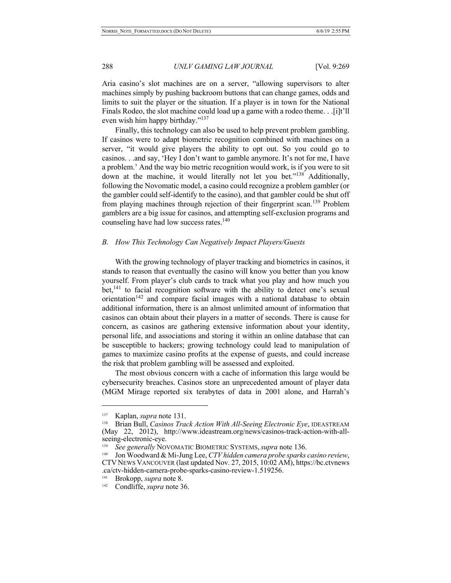Aria casino's slot machines are on a server, "allowing supervisors to alter machines simply by pushing backroom buttons that can change games, odds and limits to suit the player or the situation. If a player is in town for the National Finals Rodeo, the slot machine could load up a game with a rodeo theme. . .[i]t'll even wish him happy birthday."137

Finally, this technology can also be used to help prevent problem gambling. If casinos were to adapt biometric recognition combined with machines on a server, "it would give players the ability to opt out. So you could go to casinos. . .and say, 'Hey I don't want to gamble anymore. It's not for me, I have a problem.' And the way bio metric recognition would work, is if you were to sit down at the machine, it would literally not let you bet."<sup>138</sup> Additionally, following the Novomatic model, a casino could recognize a problem gambler (or the gambler could self-identify to the casino), and that gambler could be shut off from playing machines through rejection of their fingerprint scan.<sup>139</sup> Problem gamblers are a big issue for casinos, and attempting self-exclusion programs and counseling have had low success rates.<sup>140</sup>

#### *B. How This Technology Can Negatively Impact Players/Guests*

With the growing technology of player tracking and biometrics in casinos, it stands to reason that eventually the casino will know you better than you know yourself. From player's club cards to track what you play and how much you bet, $^{141}$  to facial recognition software with the ability to detect one's sexual orientation<sup>142</sup> and compare facial images with a national database to obtain additional information, there is an almost unlimited amount of information that casinos can obtain about their players in a matter of seconds. There is cause for concern, as casinos are gathering extensive information about your identity, personal life, and associations and storing it within an online database that can be susceptible to hackers; growing technology could lead to manipulation of games to maximize casino profits at the expense of guests, and could increase the risk that problem gambling will be assessed and exploited.

The most obvious concern with a cache of information this large would be cybersecurity breaches. Casinos store an unprecedented amount of player data (MGM Mirage reported six terabytes of data in 2001 alone, and Harrah's

<sup>137</sup> Kaplan, *supra* note 131.

<sup>138</sup> Brian Bull, *Casinos Track Action With All-Seeing Electronic Eye*, IDEASTREAM (May 22, 2012), http://www.ideastream.org/news/casinos-track-action-with-all- seeing-electronic-eye.

<sup>139</sup> *See generally* NOVOMATIC BIOMETRIC SYSTEMS, *supra* note 136.

<sup>140</sup> Jon Woodward & Mi-Jung Lee, *CTV hidden camera probe sparks casino review*, CTV NEWS VANCOUVER (last updated Nov. 27, 2015, 10:02 AM), https://bc.ctvnews .ca/ctv-hidden-camera-probe-sparks-casino-review-1.519256.

<sup>141</sup> Brokopp, *supra* note 8.

<sup>142</sup> Condliffe, *supra* note 36.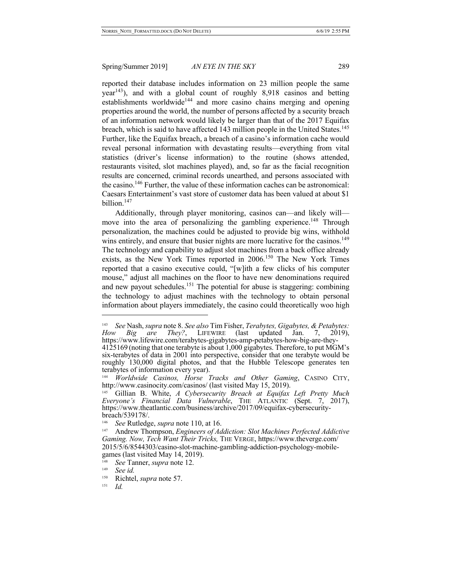reported their database includes information on 23 million people the same  $year<sup>143</sup>$ ), and with a global count of roughly 8,918 casinos and betting  $establishments$  worldwide<sup>144</sup> and more casino chains merging and opening properties around the world, the number of persons affected by a security breach of an information network would likely be larger than that of the 2017 Equifax breach, which is said to have affected 143 million people in the United States.<sup>145</sup> Further, like the Equifax breach, a breach of a casino's information cache would reveal personal information with devastating results—everything from vital statistics (driver's license information) to the routine (shows attended, restaurants visited, slot machines played), and, so far as the facial recognition results are concerned, criminal records unearthed, and persons associated with the casino.<sup>146</sup> Further, the value of these information caches can be astronomical: Caesars Entertainment's vast store of customer data has been valued at about \$1 billion.147

Additionally, through player monitoring, casinos can—and likely will move into the area of personalizing the gambling experience.<sup>148</sup> Through personalization, the machines could be adjusted to provide big wins, withhold wins entirely, and ensure that busier nights are more lucrative for the casinos.<sup>149</sup> The technology and capability to adjust slot machines from a back office already exists, as the New York Times reported in 2006.<sup>150</sup> The New York Times reported that a casino executive could, "[w]ith a few clicks of his computer mouse," adjust all machines on the floor to have new denominations required and new payout schedules.<sup>151</sup> The potential for abuse is staggering: combining the technology to adjust machines with the technology to obtain personal information about players immediately, the casino could theoretically woo high

<sup>143</sup> *See* Nash, *supra* note 8. *See also* Tim Fisher, *Terabytes, Gigabytes, & Petabytes: How Big are They?*, LIFEWIRE (last updated Jan. 7, 20<br>https://www.lifewire.com/terabytes-gigabytes-amp-petabytes-how-big-are-they- $4125169$  (noting that one terabyte is about 1,000 gigabytes. Therefore, to put MGM's

six-terabytes of data in 2001 into perspective, consider that one terabyte would be roughly 130,000 digital photos, and that the Hubble Telescope generates ten terabytes of information every year).

<sup>144</sup>*Worldwide Casinos, Horse Tracks and Other Gaming*, CASINO CITY, http://www.casinocity.com/casinos/ (last visited May 15, 2019).

<sup>145</sup> Gillian B. White, *A Cybersecurity Breach at Equifax Left Pretty Much Everyone's Financial Data Vulnerable*, THE ATLANTIC (Sept. 7, 2017), https://www.theatlantic.com/business/archive/2017/09/equifax-cybersecurity- breach/539178/.

<sup>&</sup>lt;sup>146</sup> See Rutledge, *supra* note 110, at 16.<br><sup>147</sup> Andrew Thompson, *Engineers of Addiction: Slot Machines Perfected Addictive Gaming. Now, Tech Want Their Tricks,* THE VERGE, https://www.theverge.com/ 2015/5/6/8544303/casino-slot-machine-gambling-addiction-psychology-mobilegames (last visited May 14, 2019).<br><sup>148</sup> *See* Tanner, *supra* note 12.

<sup>149</sup> *See id.*

Richtel, *supra* note 57.

<sup>151</sup> *Id.*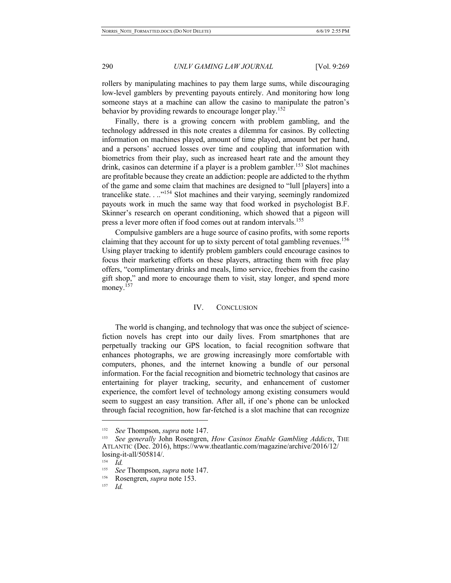rollers by manipulating machines to pay them large sums, while discouraging low-level gamblers by preventing payouts entirely. And monitoring how long someone stays at a machine can allow the casino to manipulate the patron's behavior by providing rewards to encourage longer play.<sup>152</sup>

Finally, there is a growing concern with problem gambling, and the technology addressed in this note creates a dilemma for casinos. By collecting information on machines played, amount of time played, amount bet per hand, and a persons' accrued losses over time and coupling that information with biometrics from their play, such as increased heart rate and the amount they drink, casinos can determine if a player is a problem gambler.<sup>153</sup> Slot machines are profitable because they create an addiction: people are addicted to the rhythm of the game and some claim that machines are designed to "lull [players] into a trancelike state. . ..<sup>"154</sup> Slot machines and their varying, seemingly randomized payouts work in much the same way that food worked in psychologist B.F. Skinner's research on operant conditioning, which showed that a pigeon will press a lever more often if food comes out at random intervals.155

Compulsive gamblers are a huge source of casino profits, with some reports claiming that they account for up to sixty percent of total gambling revenues.<sup>156</sup> Using player tracking to identify problem gamblers could encourage casinos to focus their marketing efforts on these players, attracting them with free play offers, "complimentary drinks and meals, limo service, freebies from the casino gift shop," and more to encourage them to visit, stay longer, and spend more money.<sup>157</sup>

#### IV. CONCLUSION

The world is changing, and technology that was once the subject of sciencefiction novels has crept into our daily lives. From smartphones that are perpetually tracking our GPS location, to facial recognition software that enhances photographs, we are growing increasingly more comfortable with computers, phones, and the internet knowing a bundle of our personal information. For the facial recognition and biometric technology that casinos are entertaining for player tracking, security, and enhancement of customer experience, the comfort level of technology among existing consumers would seem to suggest an easy transition. After all, if one's phone can be unlocked through facial recognition, how far-fetched is a slot machine that can recognize

<sup>152</sup> *See* Thompson, *supra* note 147.

<sup>153</sup> *See generally* John Rosengren, *How Casinos Enable Gambling Addicts*, THE ATLANTIC (Dec. 2016), https://www.theatlantic.com/magazine/archive/2016/12/ losing-it-all/505814/.

 $\frac{154}{155}$  *Id.* 

<sup>&</sup>lt;sup>155</sup> *See* Thompson, *supra* note 147.

<sup>156</sup> Rosengren, *supra* note 153.

<sup>157</sup> *Id.*